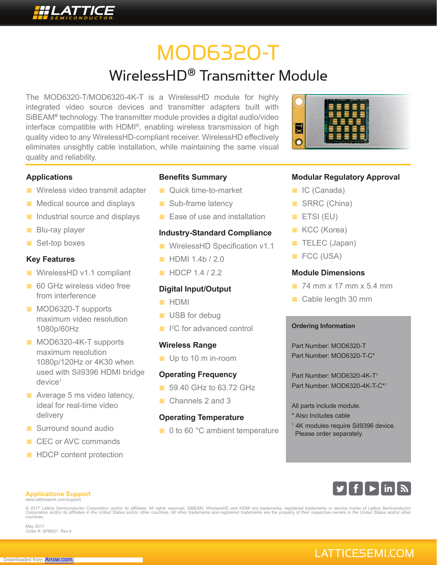# MOD6320-T

## WirelessHD® Transmitter Module

The MOD6320-T/MOD6320-4K-T is a WirelessHD module for highly integrated video source devices and transmitter adapters built with SiBEAM**®** technology. The transmitter module provides a digital audio/video interface compatible with HDMI®, enabling wireless transmission of high quality video to any WirelessHD-compliant receiver. WirelessHD effectively eliminates unsightly cable installation, while maintaining the same visual quality and reliability.



#### **Applications**

- Wireless video transmit adapter
- Medical source and displays
- Industrial source and displays
- Blu-ray player
- Set-top boxes

#### **Key Features**

- WirelessHD v1.1 compliant
- 60 GHz wireless video free from interference
- MOD6320-T supports maximum video resolution 1080p/60Hz
- MOD6320-4K-T supports maximum resolution 1080p/120Hz or 4K30 when used with SiI9396 HDMI bridge device<sup>1</sup>
- Average 5 ms video latency, ideal for real-time video delivery
- Surround sound audio
- CEC or AVC commands
- HDCP content protection

#### **Benefits Summary**

- Quick time-to-market
- Sub-frame latency
- Ease of use and installation

#### **Industry-Standard Compliance**

- WirelessHD Specification v1.1
- **■** HDMI 1.4b / 2.0
- **■** HDCP 1.4 / 2.2

#### **Digital Input/Output**

- **■** HDMI
- USB for debug
- <sup>12</sup>C for advanced control

#### **Wireless Range**

■ Up to 10 m in-room

#### **Operating Frequency**

- 59.40 GHz to 63.72 GHz
- Channels 2 and 3

#### **Operating Temperature**

■ 0 to 60 °C ambient temperature

#### **Modular Regulatory Approval**

- **IC** (Canada)
- SRRC (China)
- **■** ETSI (EU)
- KCC (Korea)
- **■** TELEC (Japan)
- **■** FCC (USA)

#### **Module Dimensions**

- 74 mm x 17 mm x 5.4 mm
- Cable length 30 mm

#### **Ordering Information**

Part Number: MOD6320-T Part Number: MOD6320-T-C\*

Part Number: MOD6320-4K-T1 Part Number: MOD6320-4K-T-C\*1

All parts include module.

- \* Also Includes cable
- 1 4K modules require SiI9396 device. Please order separately.



#### **Applications Support**

www.latticesemi.com/support

© 2017 Lattice Semiconductor Corporation and/or its affiliates. All rights reserved. SiBEAM, WirelessHD and HDMI are trademarks, registered trademarks or service marks of Lattice Semiconductor<br>Corporation and/or its affili countries.

May 2017 Order #: SPB001 Rev.4

### LATTICESEMI.COM